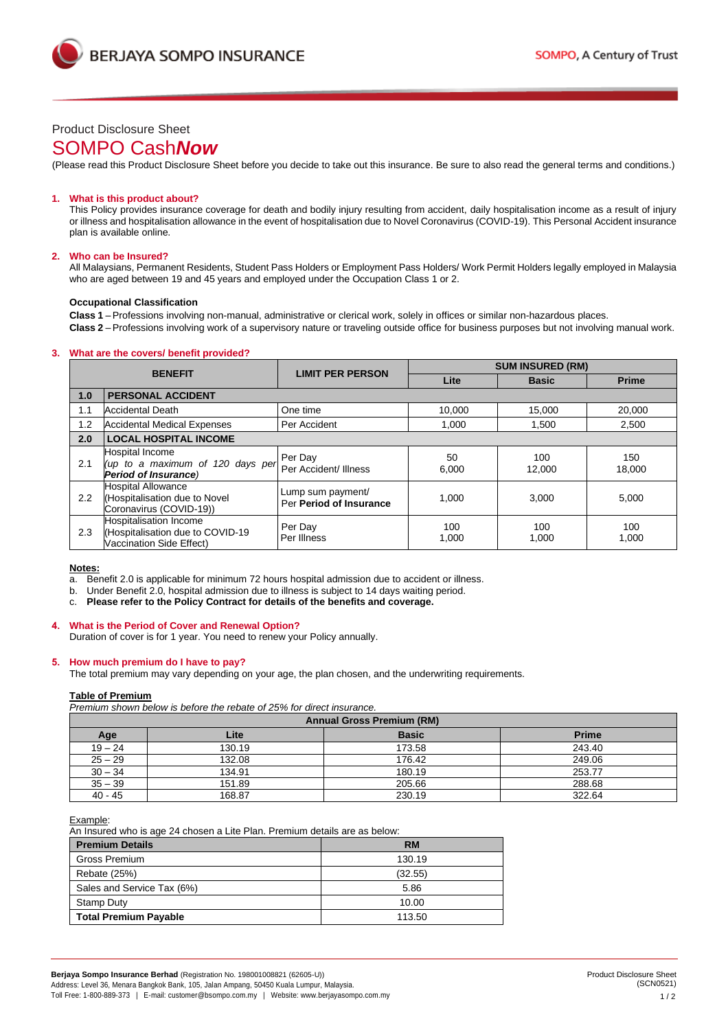



# Product Disclosure Sheet

# SOMPO Cash*Now*

(Please read this Product Disclosure Sheet before you decide to take out this insurance. Be sure to also read the general terms and conditions.)

# **1. What is this product about?**

This Policy provides insurance coverage for death and bodily injury resulting from accident, daily hospitalisation income as a result of injury or illness and hospitalisation allowance in the event of hospitalisation due to Novel Coronavirus (COVID-19). This Personal Accident insurance plan is available online.

### **2. Who can be Insured?**

All Malaysians, Permanent Residents, Student Pass Holders or Employment Pass Holders/ Work Permit Holders legally employed in Malaysia who are aged between 19 and 45 years and employed under the Occupation Class 1 or 2.

#### **Occupational Classification**

**Class 1** –Professions involving non-manual, administrative or clerical work, solely in offices or similar non-hazardous places.

**Class 2** –Professions involving work of a supervisory nature or traveling outside office for business purposes but not involving manual work.

# **3. What are the covers/ benefit provided?**

| <b>BENEFIT</b> |                                                                                        | <b>LIMIT PER PERSON</b>                      | <b>SUM INSURED (RM)</b> |               |               |
|----------------|----------------------------------------------------------------------------------------|----------------------------------------------|-------------------------|---------------|---------------|
|                |                                                                                        |                                              | Lite                    | <b>Basic</b>  | <b>Prime</b>  |
| 1.0            | <b>PERSONAL ACCIDENT</b>                                                               |                                              |                         |               |               |
| 1.1            | <b>Accidental Death</b>                                                                | One time                                     | 10,000                  | 15.000        | 20,000        |
| 1.2            | <b>Accidental Medical Expenses</b>                                                     | Per Accident                                 | 1,000                   | 1,500         | 2,500         |
| 2.0            | <b>LOCAL HOSPITAL INCOME</b>                                                           |                                              |                         |               |               |
| 2.1            | Hospital Income<br>(up to a maximum of 120 days per<br><b>Period of Insurance)</b>     | Per Day<br>Per Accident/ Illness             | 50<br>6.000             | 100<br>12.000 | 150<br>18.000 |
| 2.2            | <b>Hospital Allowance</b><br>(Hospitalisation due to Novel<br>Coronavirus (COVID-19))  | Lump sum payment/<br>Per Period of Insurance | 1.000                   | 3.000         | 5.000         |
| 2.3            | Hospitalisation Income<br>(Hospitalisation due to COVID-19<br>Vaccination Side Effect) | Per Day<br>Per Illness                       | 100<br>1,000            | 100<br>1,000  | 100<br>1,000  |

# **Notes:**

a. Benefit 2.0 is applicable for minimum 72 hours hospital admission due to accident or illness.

b. Under Benefit 2.0, hospital admission due to illness is subject to 14 days waiting period.

c. **Please refer to the Policy Contract for details of the benefits and coverage.**

# **4. What is the Period of Cover and Renewal Option?**

Duration of cover is for 1 year. You need to renew your Policy annually.

# **5. How much premium do I have to pay?**

The total premium may vary depending on your age, the plan chosen, and the underwriting requirements.

#### **Table of Premium**

*Premium shown below is before the rebate of 25% for direct insurance.*

| <b>Annual Gross Premium (RM)</b> |        |              |              |
|----------------------------------|--------|--------------|--------------|
| Age                              | Lite   | <b>Basic</b> | <b>Prime</b> |
| $19 - 24$                        | 130.19 | 173.58       | 243.40       |
| $25 - 29$                        | 132.08 | 176.42       | 249.06       |
| $30 - 34$                        | 134.91 | 180.19       | 253.77       |
| $35 - 39$                        | 151.89 | 205.66       | 288.68       |
| $40 - 45$                        | 168.87 | 230.19       | 322.64       |

### Example:

An Insured who is age 24 chosen a Lite Plan. Premium details are as below:

| <b>Premium Details</b>       | <b>RM</b> |
|------------------------------|-----------|
| <b>Gross Premium</b>         | 130.19    |
| Rebate (25%)                 | (32.55)   |
| Sales and Service Tax (6%)   | 5.86      |
| Stamp Duty                   | 10.00     |
| <b>Total Premium Payable</b> | 113.50    |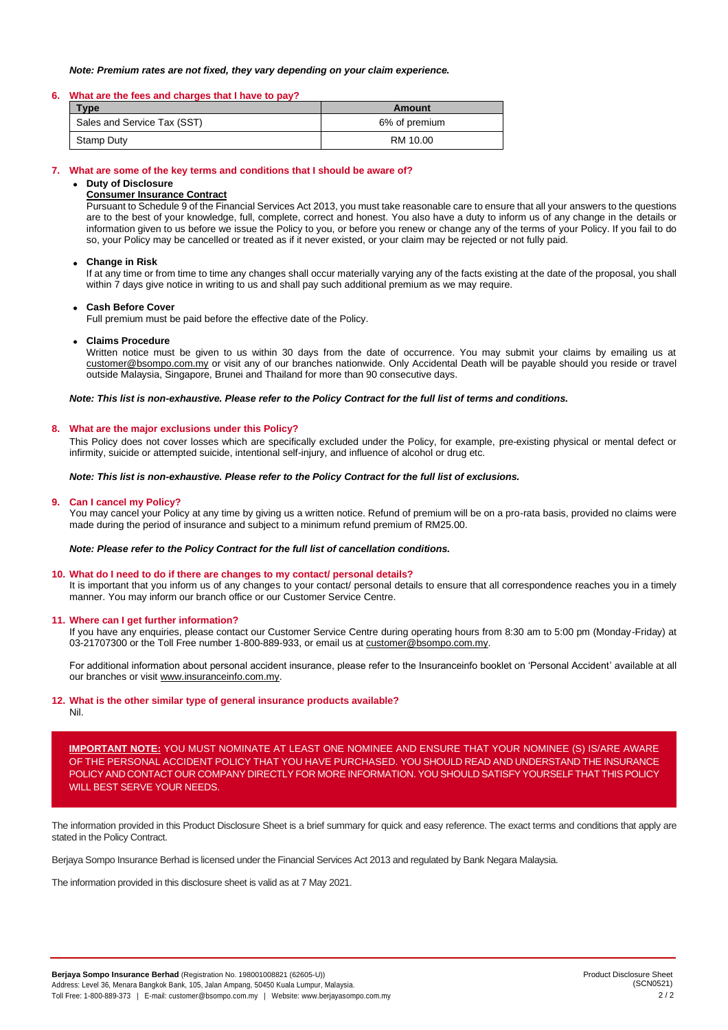### *Note: Premium rates are not fixed, they vary depending on your claim experience.*

### **6. What are the fees and charges that I have to pay?**

| Type                        | Amount        |
|-----------------------------|---------------|
| Sales and Service Tax (SST) | 6% of premium |
| Stamp Duty                  | RM 10.00      |

### **7. What are some of the key terms and conditions that I should be aware of?**

# • **Duty of Disclosure**

# **Consumer Insurance Contract**

Pursuant to Schedule 9 of the Financial Services Act 2013, you must take reasonable care to ensure that all your answers to the questions are to the best of your knowledge, full, complete, correct and honest. You also have a duty to inform us of any change in the details or information given to us before we issue the Policy to you, or before you renew or change any of the terms of your Policy. If you fail to do so, your Policy may be cancelled or treated as if it never existed, or your claim may be rejected or not fully paid.

### • **Change in Risk**

If at any time or from time to time any changes shall occur materially varying any of the facts existing at the date of the proposal, you shall within 7 days give notice in writing to us and shall pay such additional premium as we may require.

### • **Cash Before Cover**

Full premium must be paid before the effective date of the Policy.

### • **Claims Procedure**

Written notice must be given to us within 30 days from the date of occurrence. You may submit your claims by emailing us at [customer@bsompo.com.my](mailto:customer@bsompo.com.my) or visit any of our branches nationwide. Only Accidental Death will be payable should you reside or travel outside Malaysia, Singapore, Brunei and Thailand for more than 90 consecutive days.

### *Note: This list is non-exhaustive. Please refer to the Policy Contract for the full list of terms and conditions.*

#### **8. What are the major exclusions under this Policy?**

This Policy does not cover losses which are specifically excluded under the Policy, for example, pre-existing physical or mental defect or infirmity, suicide or attempted suicide, intentional self-injury, and influence of alcohol or drug etc.

# *Note: This list is non-exhaustive. Please refer to the Policy Contract for the full list of exclusions.*

### **9. Can I cancel my Policy?**

You may cancel your Policy at any time by giving us a written notice. Refund of premium will be on a pro-rata basis, provided no claims were made during the period of insurance and subject to a minimum refund premium of RM25.00.

### *Note: Please refer to the Policy Contract for the full list of cancellation conditions.*

#### **10. What do I need to do if there are changes to my contact/ personal details?**

It is important that you inform us of any changes to your contact/ personal details to ensure that all correspondence reaches you in a timely manner. You may inform our branch office or our Customer Service Centre.

#### **11. Where can I get further information?**

If you have any enquiries, please contact our Customer Service Centre during operating hours from 8:30 am to 5:00 pm (Monday-Friday) at 03-21707300 or the Toll Free number 1-800-889-933, or email us a[t customer@bsompo.com.my.](mailto:customer@bsompo.com.my)

For additional information about personal accident insurance, please refer to the Insuranceinfo booklet on 'Personal Accident' available at all our branches or visit [www.insuranceinfo.com.my.](http://www.insuranceinfo.com.my/)

# **12. What is the other similar type of general insurance products available?**

Nil.

**IMPORTANT NOTE:** YOU MUST NOMINATE AT LEAST ONE NOMINEE AND ENSURE THAT YOUR NOMINEE (S) IS/ARE AWARE OF THE PERSONAL ACCIDENT POLICY THAT YOU HAVE PURCHASED. YOU SHOULD READ AND UNDERSTAND THE INSURANCE POLICY AND CONTACT OUR COMPANY DIRECTLY FOR MORE INFORMATION. YOU SHOULD SATISFY YOURSELF THAT THIS POLICY WILL BEST SERVE YOUR NEEDS.

The information provided in this Product Disclosure Sheet is a brief summary for quick and easy reference. The exact terms and conditions that apply are stated in the Policy Contract.

Berjaya Sompo Insurance Berhad is licensed under the Financial Services Act 2013 and regulated by Bank Negara Malaysia.

The information provided in this disclosure sheet is valid as at 7 May 2021.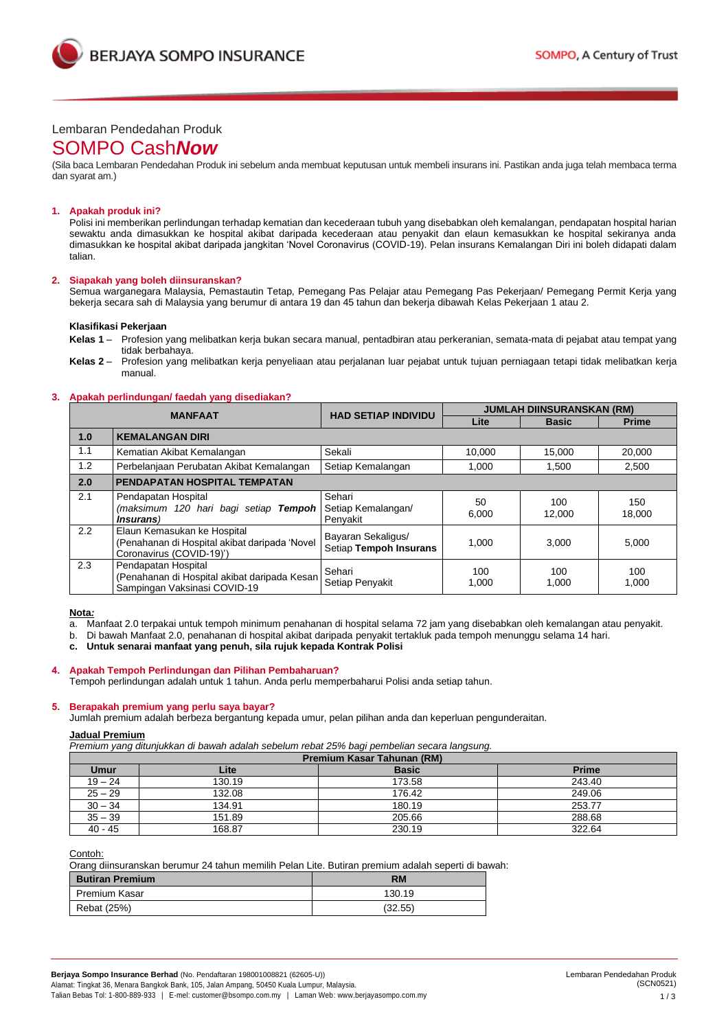

# Lembaran Pendedahan Produk

# SOMPO Cash*Now*

(Sila baca Lembaran Pendedahan Produk ini sebelum anda membuat keputusan untuk membeli insurans ini. Pastikan anda juga telah membaca terma dan syarat am.)

# **1. Apakah produk ini?**

Polisi ini memberikan perlindungan terhadap kematian dan kecederaan tubuh yang disebabkan oleh kemalangan, pendapatan hospital harian sewaktu anda dimasukkan ke hospital akibat daripada kecederaan atau penyakit dan elaun kemasukkan ke hospital sekiranya anda dimasukkan ke hospital akibat daripada jangkitan 'Novel Coronavirus (COVID-19). Pelan insurans Kemalangan Diri ini boleh didapati dalam talian.

### **2. Siapakah yang boleh diinsuranskan?**

Semua warganegara Malaysia, Pemastautin Tetap, Pemegang Pas Pelajar atau Pemegang Pas Pekerjaan/ Pemegang Permit Kerja yang bekerja secara sah di Malaysia yang berumur di antara 19 dan 45 tahun dan bekerja dibawah Kelas Pekerjaan 1 atau 2.

# **Klasifikasi Pekerjaan**

**Kelas 1** – Profesion yang melibatkan kerja bukan secara manual, pentadbiran atau perkeranian, semata-mata di pejabat atau tempat yang tidak berbahaya.

**Kelas 2** – Profesion yang melibatkan kerja penyeliaan atau perjalanan luar pejabat untuk tujuan perniagaan tetapi tidak melibatkan kerja manual.

### **3. Apakah perlindungan/ faedah yang disediakan?**

| <b>MANFAAT</b> |                                                                                                          | <b>HAD SETIAP INDIVIDU</b>                   | <b>JUMLAH DIINSURANSKAN (RM)</b> |               |               |
|----------------|----------------------------------------------------------------------------------------------------------|----------------------------------------------|----------------------------------|---------------|---------------|
|                |                                                                                                          |                                              | Lite                             | <b>Basic</b>  | <b>Prime</b>  |
| 1.0            | <b>KEMALANGAN DIRI</b>                                                                                   |                                              |                                  |               |               |
| 1.1            | Kematian Akibat Kemalangan                                                                               | Sekali                                       | 10.000                           | 15.000        | 20,000        |
| 1.2            | Perbelanjaan Perubatan Akibat Kemalangan                                                                 | Setiap Kemalangan                            | 1,000                            | 1,500         | 2,500         |
| 2.0            | PENDAPATAN HOSPITAL TEMPATAN                                                                             |                                              |                                  |               |               |
| 2.1            | Pendapatan Hospital<br>(maksimum 120 hari bagi setiap Tempoh<br><i>Insurans</i> )                        | Sehari<br>Setiap Kemalangan/<br>Penyakit     | 50<br>6.000                      | 100<br>12.000 | 150<br>18,000 |
| $2.2^{\circ}$  | Elaun Kemasukan ke Hospital<br>(Penahanan di Hospital akibat daripada 'Novel<br>Coronavirus (COVID-19)') | Bayaran Sekaligus/<br>Setiap Tempoh Insurans | 1.000                            | 3.000         | 5,000         |
| 2.3            | Pendapatan Hospital<br>(Penahanan di Hospital akibat daripada Kesan<br>Sampingan Vaksinasi COVID-19      | Sehari<br>Setiap Penyakit                    | 100<br>1,000                     | 100<br>1,000  | 100<br>1,000  |

#### **Nota***:*

a. Manfaat 2.0 terpakai untuk tempoh minimum penahanan di hospital selama 72 jam yang disebabkan oleh kemalangan atau penyakit.

b. Di bawah Manfaat 2.0, penahanan di hospital akibat daripada penyakit tertakluk pada tempoh menunggu selama 14 hari.

**c. Untuk senarai manfaat yang penuh, sila rujuk kepada Kontrak Polisi**

# **4. Apakah Tempoh Perlindungan dan Pilihan Pembaharuan?**

Tempoh perlindungan adalah untuk 1 tahun. Anda perlu memperbaharui Polisi anda setiap tahun.

# **5. Berapakah premium yang perlu saya bayar?**

Jumlah premium adalah berbeza bergantung kepada umur, pelan pilihan anda dan keperluan pengunderaitan.

# **Jadual Premium**

*Premium yang ditunjukkan di bawah adalah sebelum rebat 25% bagi pembelian secara langsung.*

| Premium Kasar Tahunan (RM) |        |              |              |
|----------------------------|--------|--------------|--------------|
| Umur                       | Lite   | <b>Basic</b> | <b>Prime</b> |
| $19 - 24$                  | 130.19 | 173.58       | 243.40       |
| $25 - 29$                  | 132.08 | 176.42       | 249.06       |
| $30 - 34$                  | 134.91 | 180.19       | 253.77       |
| $35 - 39$                  | 151.89 | 205.66       | 288.68       |
| $40 - 45$                  | 168.87 | 230.19       | 322.64       |

Contoh:

Orang diinsuranskan berumur 24 tahun memilih Pelan Lite. Butiran premium adalah seperti di bawah:

| <b>Butiran Premium</b> | <b>RM</b> |
|------------------------|-----------|
| Premium Kasar          | 130.19    |
| Rebat (25%)            | (32.55)   |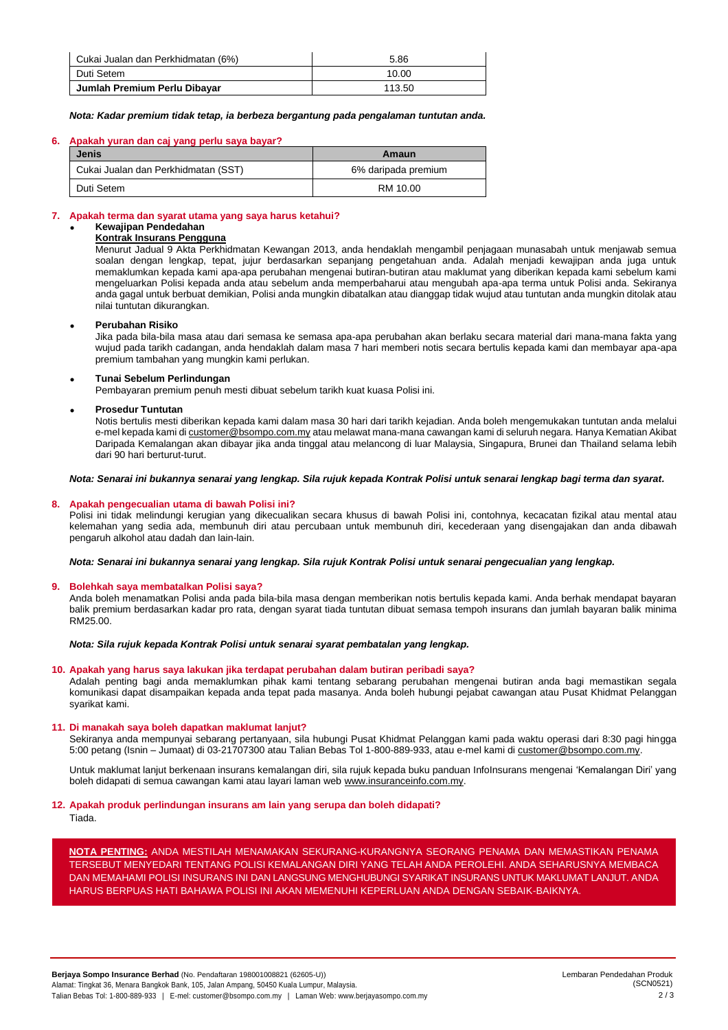| Cukai Jualan dan Perkhidmatan (6%) | 5.86   |
|------------------------------------|--------|
| Duti Setem                         | 10.00  |
| Jumlah Premium Perlu Dibayar       | 113.50 |

*Nota: Kadar premium tidak tetap, ia berbeza bergantung pada pengalaman tuntutan anda.*

### **6. Apakah yuran dan caj yang perlu saya bayar?**

| <b>Jenis</b>                        | Amaun               |  |
|-------------------------------------|---------------------|--|
| Cukai Jualan dan Perkhidmatan (SST) | 6% daripada premium |  |
| Duti Setem                          | RM 10.00            |  |

# **7. Apakah terma dan syarat utama yang saya harus ketahui?**

# • **Kewajipan Pendedahan**

# **Kontrak Insurans Pengguna**

Menurut Jadual 9 Akta Perkhidmatan Kewangan 2013, anda hendaklah mengambil penjagaan munasabah untuk menjawab semua soalan dengan lengkap, tepat, jujur berdasarkan sepanjang pengetahuan anda. Adalah menjadi kewajipan anda juga untuk memaklumkan kepada kami apa-apa perubahan mengenai butiran-butiran atau maklumat yang diberikan kepada kami sebelum kami mengeluarkan Polisi kepada anda atau sebelum anda memperbaharui atau mengubah apa-apa terma untuk Polisi anda. Sekiranya anda gagal untuk berbuat demikian, Polisi anda mungkin dibatalkan atau dianggap tidak wujud atau tuntutan anda mungkin ditolak atau nilai tuntutan dikurangkan.

# • **Perubahan Risiko**

Jika pada bila-bila masa atau dari semasa ke semasa apa-apa perubahan akan berlaku secara material dari mana-mana fakta yang wujud pada tarikh cadangan, anda hendaklah dalam masa 7 hari memberi notis secara bertulis kepada kami dan membayar apa-apa premium tambahan yang mungkin kami perlukan.

# • **Tunai Sebelum Perlindungan**

Pembayaran premium penuh mesti dibuat sebelum tarikh kuat kuasa Polisi ini.

# • **Prosedur Tuntutan**

Notis bertulis mesti diberikan kepada kami dalam masa 30 hari dari tarikh kejadian. Anda boleh mengemukakan tuntutan anda melalui e-mel kepada kami d[i customer@bsompo.com.my](mailto:customer@bsompo.com.my) atau melawat mana-mana cawangan kami di seluruh negara. Hanya Kematian Akibat Daripada Kemalangan akan dibayar jika anda tinggal atau melancong di luar Malaysia, Singapura, Brunei dan Thailand selama lebih dari 90 hari berturut-turut.

# *Nota: Senarai ini bukannya senarai yang lengkap. Sila rujuk kepada Kontrak Polisi untuk senarai lengkap bagi terma dan syarat.*

# **8. Apakah pengecualian utama di bawah Polisi ini?**

Polisi ini tidak melindungi kerugian yang dikecualikan secara khusus di bawah Polisi ini, contohnya, kecacatan fizikal atau mental atau kelemahan yang sedia ada, membunuh diri atau percubaan untuk membunuh diri, kecederaan yang disengajakan dan anda dibawah pengaruh alkohol atau dadah dan lain-lain.

*Nota: Senarai ini bukannya senarai yang lengkap. Sila rujuk Kontrak Polisi untuk senarai pengecualian yang lengkap.*

# **9. Bolehkah saya membatalkan Polisi saya?**

Anda boleh menamatkan Polisi anda pada bila-bila masa dengan memberikan notis bertulis kepada kami. Anda berhak mendapat bayaran balik premium berdasarkan kadar pro rata, dengan syarat tiada tuntutan dibuat semasa tempoh insurans dan jumlah bayaran balik minima RM25.00.

*Nota: Sila rujuk kepada Kontrak Polisi untuk senarai syarat pembatalan yang lengkap.*

# **10. Apakah yang harus saya lakukan jika terdapat perubahan dalam butiran peribadi saya?**

Adalah penting bagi anda memaklumkan pihak kami tentang sebarang perubahan mengenai butiran anda bagi memastikan segala komunikasi dapat disampaikan kepada anda tepat pada masanya. Anda boleh hubungi pejabat cawangan atau Pusat Khidmat Pelanggan syarikat kami.

# **11. Di manakah saya boleh dapatkan maklumat lanjut?**

Sekiranya anda mempunyai sebarang pertanyaan, sila hubungi Pusat Khidmat Pelanggan kami pada waktu operasi dari 8:30 pagi hingga 5:00 petang (Isnin - Jumaat) di 03-21707300 atau Talian Bebas Tol 1-800-889-933, atau e-mel kami d[i customer@bsompo.com.my.](mailto:customer@bsompo.com.my)

Untuk maklumat lanjut berkenaan insurans kemalangan diri, sila rujuk kepada buku panduan InfoInsurans mengenai 'Kemalangan Diri' yang boleh didapati di semua cawangan kami atau layari laman we[b www.insuranceinfo.com.my.](http://www.insuranceinfo.com.my/)

# **12. Apakah produk perlindungan insurans am lain yang serupa dan boleh didapati?**

Tiada.

**NOTA PENTING:** ANDA MESTILAH MENAMAKAN SEKURANG-KURANGNYA SEORANG PENAMA DAN MEMASTIKAN PENAMA TERSEBUT MENYEDARI TENTANG POLISI KEMALANGAN DIRI YANG TELAH ANDA PEROLEHI. ANDA SEHARUSNYA MEMBACA DAN MEMAHAMI POLISI INSURANS INI DAN LANGSUNG MENGHUBUNGI SYARIKAT INSURANS UNTUK MAKLUMAT LANJUT. ANDA HARUS BERPUAS HATI BAHAWA POLISI INI AKAN MEMENUHI KEPERLUAN ANDA DENGAN SEBAIK-BAIKNYA.